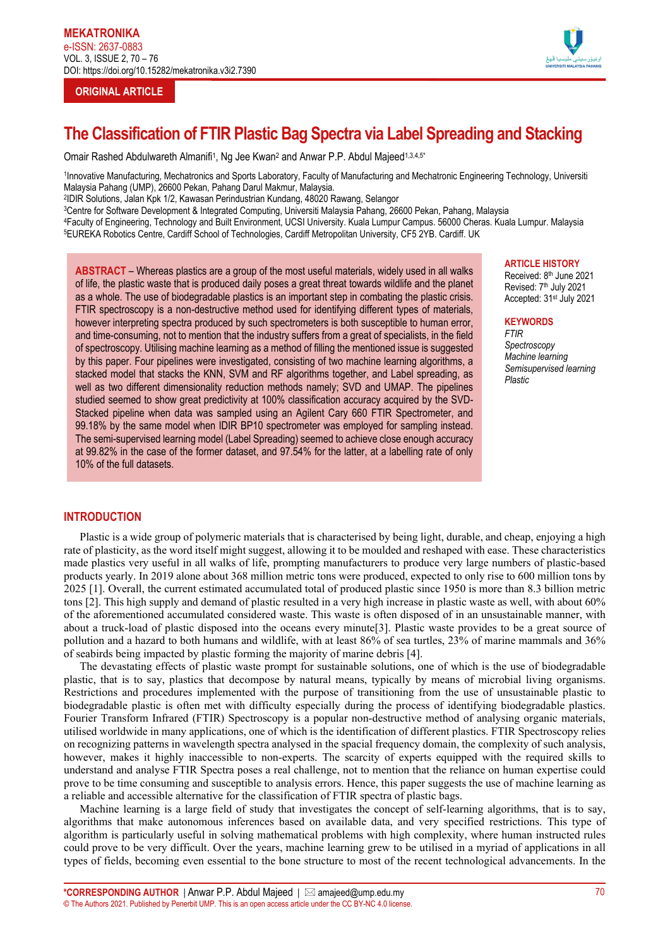# **ORIGINAL ARTICLE**



# **The Classification of FTIR Plastic Bag Spectra via Label Spreading and Stacking**

Omair Rashed Abdulwareth Almanifi<sup>1</sup>, Ng Jee Kwan<sup>2</sup> and Anwar P.P. Abdul Majeed<sup>1,3,4,5\*</sup>

1Innovative Manufacturing, Mechatronics and Sports Laboratory, Faculty of Manufacturing and Mechatronic Engineering Technology, Universiti Malaysia Pahang (UMP), 26600 Pekan, Pahang Darul Makmur, Malaysia.

2IDIR Solutions, Jalan Kpk 1/2, Kawasan Perindustrian Kundang, 48020 Rawang, Selangor

3Centre for Software Development & Integrated Computing, Universiti Malaysia Pahang, 26600 Pekan, Pahang, Malaysia

4Faculty of Engineering, Technology and Built Environment, UCSI University. Kuala Lumpur Campus. 56000 Cheras. Kuala Lumpur. Malaysia 5EUREKA Robotics Centre, Cardiff School of Technologies, Cardiff Metropolitan University, CF5 2YB. Cardiff. UK

**ABSTRACT** – Whereas plastics are a group of the most useful materials, widely used in all walks of life, the plastic waste that is produced daily poses a great threat towards wildlife and the planet as a whole. The use of biodegradable plastics is an important step in combating the plastic crisis. FTIR spectroscopy is a non-destructive method used for identifying different types of materials, however interpreting spectra produced by such spectrometers is both susceptible to human error, and time-consuming, not to mention that the industry suffers from a great of specialists, in the field of spectroscopy. Utilising machine learning as a method of filling the mentioned issue is suggested by this paper. Four pipelines were investigated, consisting of two machine learning algorithms, a stacked model that stacks the KNN, SVM and RF algorithms together, and Label spreading, as well as two different dimensionality reduction methods namely; SVD and UMAP. The pipelines studied seemed to show great predictivity at 100% classification accuracy acquired by the SVD-Stacked pipeline when data was sampled using an Agilent Cary 660 FTIR Spectrometer, and 99.18% by the same model when IDIR BP10 spectrometer was employed for sampling instead. The semi-supervised learning model (Label Spreading) seemed to achieve close enough accuracy at 99.82% in the case of the former dataset, and 97.54% for the latter, at a labelling rate of only 10% of the full datasets.

### **ARTICLE HISTORY**

Received: 8th June 2021 Revised: 7<sup>th</sup> July 2021 Accepted: 31st July 2021

#### **KEYWORDS**

*FTIR Spectroscopy Machine learning Semisupervised learning Plastic*

# **INTRODUCTION**

Plastic is a wide group of polymeric materials that is characterised by being light, durable, and cheap, enjoying a high rate of plasticity, as the word itself might suggest, allowing it to be moulded and reshaped with ease. These characteristics made plastics very useful in all walks of life, prompting manufacturers to produce very large numbers of plastic-based products yearly. In 2019 alone about 368 million metric tons were produced, expected to only rise to 600 million tons by 2025 [1]. Overall, the current estimated accumulated total of produced plastic since 1950 is more than 8.3 billion metric tons [2]. This high supply and demand of plastic resulted in a very high increase in plastic waste as well, with about 60% of the aforementioned accumulated considered waste. This waste is often disposed of in an unsustainable manner, with about a truck-load of plastic disposed into the oceans every minute[3]. Plastic waste provides to be a great source of pollution and a hazard to both humans and wildlife, with at least 86% of sea turtles, 23% of marine mammals and 36% of seabirds being impacted by plastic forming the majority of marine debris [4].

The devastating effects of plastic waste prompt for sustainable solutions, one of which is the use of biodegradable plastic, that is to say, plastics that decompose by natural means, typically by means of microbial living organisms. Restrictions and procedures implemented with the purpose of transitioning from the use of unsustainable plastic to biodegradable plastic is often met with difficulty especially during the process of identifying biodegradable plastics. Fourier Transform Infrared (FTIR) Spectroscopy is a popular non-destructive method of analysing organic materials, utilised worldwide in many applications, one of which is the identification of different plastics. FTIR Spectroscopy relies on recognizing patterns in wavelength spectra analysed in the spacial frequency domain, the complexity of such analysis, however, makes it highly inaccessible to non-experts. The scarcity of experts equipped with the required skills to understand and analyse FTIR Spectra poses a real challenge, not to mention that the reliance on human expertise could prove to be time consuming and susceptible to analysis errors. Hence, this paper suggests the use of machine learning as a reliable and accessible alternative for the classification of FTIR spectra of plastic bags.

Machine learning is a large field of study that investigates the concept of self-learning algorithms, that is to say, algorithms that make autonomous inferences based on available data, and very specified restrictions. This type of algorithm is particularly useful in solving mathematical problems with high complexity, where human instructed rules could prove to be very difficult. Over the years, machine learning grew to be utilised in a myriad of applications in all types of fields, becoming even essential to the bone structure to most of the recent technological advancements. In the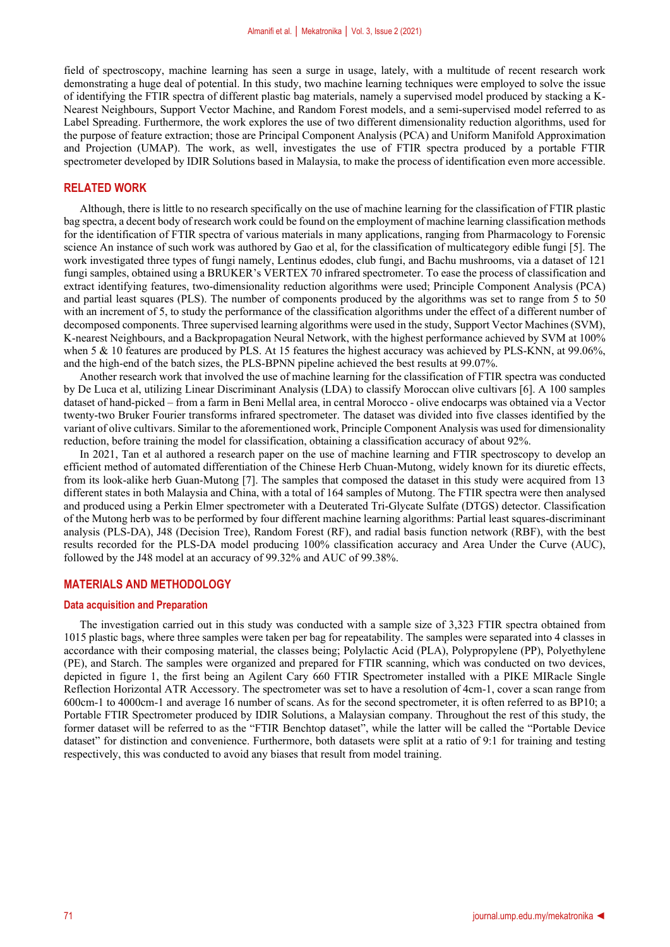field of spectroscopy, machine learning has seen a surge in usage, lately, with a multitude of recent research work demonstrating a huge deal of potential. In this study, two machine learning techniques were employed to solve the issue of identifying the FTIR spectra of different plastic bag materials, namely a supervised model produced by stacking a K-Nearest Neighbours, Support Vector Machine, and Random Forest models, and a semi-supervised model referred to as Label Spreading. Furthermore, the work explores the use of two different dimensionality reduction algorithms, used for the purpose of feature extraction; those are Principal Component Analysis (PCA) and Uniform Manifold Approximation and Projection (UMAP). The work, as well, investigates the use of FTIR spectra produced by a portable FTIR spectrometer developed by IDIR Solutions based in Malaysia, to make the process of identification even more accessible.

#### **RELATED WORK**

Although, there is little to no research specifically on the use of machine learning for the classification of FTIR plastic bag spectra, a decent body of research work could be found on the employment of machine learning classification methods for the identification of FTIR spectra of various materials in many applications, ranging from Pharmacology to Forensic science An instance of such work was authored by Gao et al, for the classification of multicategory edible fungi [5]. The work investigated three types of fungi namely, Lentinus edodes, club fungi, and Bachu mushrooms, via a dataset of 121 fungi samples, obtained using a BRUKER's VERTEX 70 infrared spectrometer. To ease the process of classification and extract identifying features, two-dimensionality reduction algorithms were used; Principle Component Analysis (PCA) and partial least squares (PLS). The number of components produced by the algorithms was set to range from 5 to 50 with an increment of 5, to study the performance of the classification algorithms under the effect of a different number of decomposed components. Three supervised learning algorithms were used in the study, Support Vector Machines (SVM), K-nearest Neighbours, and a Backpropagation Neural Network, with the highest performance achieved by SVM at 100% when 5 & 10 features are produced by PLS. At 15 features the highest accuracy was achieved by PLS-KNN, at 99.06%, and the high-end of the batch sizes, the PLS-BPNN pipeline achieved the best results at 99.07%.

Another research work that involved the use of machine learning for the classification of FTIR spectra was conducted by De Luca et al, utilizing Linear Discriminant Analysis (LDA) to classify Moroccan olive cultivars [6]. A 100 samples dataset of hand-picked – from a farm in Beni Mellal area, in central Morocco - olive endocarps was obtained via a Vector twenty‐two Bruker Fourier transforms infrared spectrometer. The dataset was divided into five classes identified by the variant of olive cultivars. Similar to the aforementioned work, Principle Component Analysis was used for dimensionality reduction, before training the model for classification, obtaining a classification accuracy of about 92%.

In 2021, Tan et al authored a research paper on the use of machine learning and FTIR spectroscopy to develop an efficient method of automated differentiation of the Chinese Herb Chuan-Mutong, widely known for its diuretic effects, from its look-alike herb Guan-Mutong [7]. The samples that composed the dataset in this study were acquired from 13 different states in both Malaysia and China, with a total of 164 samples of Mutong. The FTIR spectra were then analysed and produced using a Perkin Elmer spectrometer with a Deuterated Tri-Glycate Sulfate (DTGS) detector. Classification of the Mutong herb was to be performed by four different machine learning algorithms: Partial least squares-discriminant analysis (PLS-DA), J48 (Decision Tree), Random Forest (RF), and radial basis function network (RBF), with the best results recorded for the PLS-DA model producing 100% classification accuracy and Area Under the Curve (AUC), followed by the J48 model at an accuracy of 99.32% and AUC of 99.38%.

## **MATERIALS AND METHODOLOGY**

#### **Data acquisition and Preparation**

The investigation carried out in this study was conducted with a sample size of 3,323 FTIR spectra obtained from 1015 plastic bags, where three samples were taken per bag for repeatability. The samples were separated into 4 classes in accordance with their composing material, the classes being; Polylactic Acid (PLA), Polypropylene (PP), Polyethylene (PE), and Starch. The samples were organized and prepared for FTIR scanning, which was conducted on two devices, depicted in figure 1, the first being an Agilent Cary 660 FTIR Spectrometer installed with a PIKE MIRacle Single Reflection Horizontal ATR Accessory. The spectrometer was set to have a resolution of 4cm-1, cover a scan range from 600cm-1 to 4000cm-1 and average 16 number of scans. As for the second spectrometer, it is often referred to as BP10; a Portable FTIR Spectrometer produced by IDIR Solutions, a Malaysian company. Throughout the rest of this study, the former dataset will be referred to as the "FTIR Benchtop dataset", while the latter will be called the "Portable Device dataset" for distinction and convenience. Furthermore, both datasets were split at a ratio of 9:1 for training and testing respectively, this was conducted to avoid any biases that result from model training.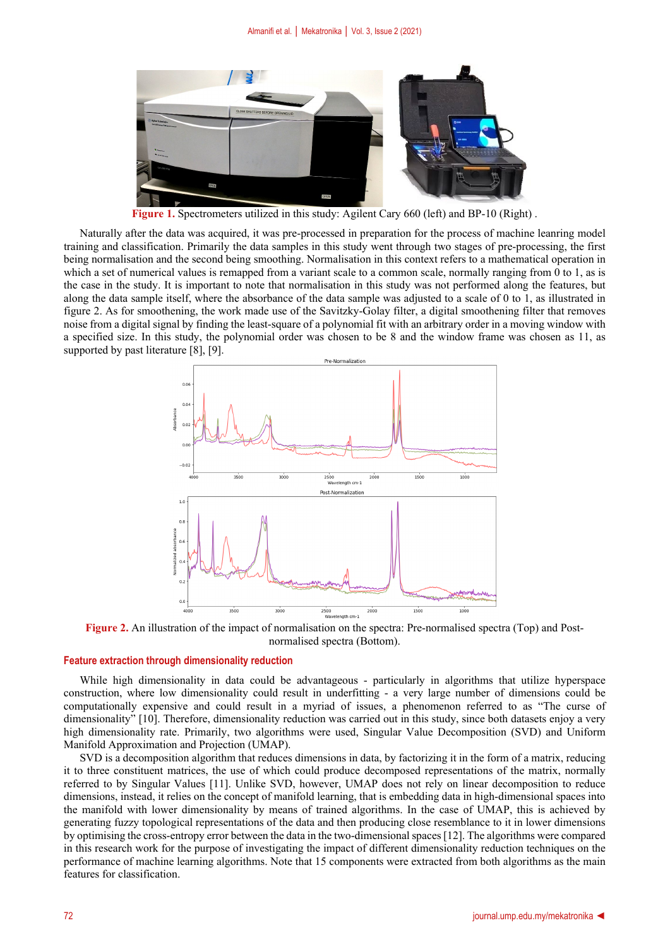

**Figure 1.** Spectrometers utilized in this study: Agilent Cary 660 (left) and BP-10 (Right) .

Naturally after the data was acquired, it was pre-processed in preparation for the process of machine leanring model training and classification. Primarily the data samples in this study went through two stages of pre-processing, the first being normalisation and the second being smoothing. Normalisation in this context refers to a mathematical operation in which a set of numerical values is remapped from a variant scale to a common scale, normally ranging from 0 to 1, as is the case in the study. It is important to note that normalisation in this study was not performed along the features, but along the data sample itself, where the absorbance of the data sample was adjusted to a scale of 0 to 1, as illustrated in figure 2. As for smoothening, the work made use of the Savitzky-Golay filter, a digital smoothening filter that removes noise from a digital signal by finding the least-square of a polynomial fit with an arbitrary order in a moving window with a specified size. In this study, the polynomial order was chosen to be 8 and the window frame was chosen as 11, as supported by past literature [8], [9].



**Figure 2.** An illustration of the impact of normalisation on the spectra: Pre-normalised spectra (Top) and Postnormalised spectra (Bottom).

#### **Feature extraction through dimensionality reduction**

While high dimensionality in data could be advantageous - particularly in algorithms that utilize hyperspace construction, where low dimensionality could result in underfitting - a very large number of dimensions could be computationally expensive and could result in a myriad of issues, a phenomenon referred to as "The curse of dimensionality" [10]. Therefore, dimensionality reduction was carried out in this study, since both datasets enjoy a very high dimensionality rate. Primarily, two algorithms were used, Singular Value Decomposition (SVD) and Uniform Manifold Approximation and Projection (UMAP).

SVD is a decomposition algorithm that reduces dimensions in data, by factorizing it in the form of a matrix, reducing it to three constituent matrices, the use of which could produce decomposed representations of the matrix, normally referred to by Singular Values [11]. Unlike SVD, however, UMAP does not rely on linear decomposition to reduce dimensions, instead, it relies on the concept of manifold learning, that is embedding data in high-dimensional spaces into the manifold with lower dimensionality by means of trained algorithms. In the case of UMAP, this is achieved by generating fuzzy topological representations of the data and then producing close resemblance to it in lower dimensions by optimising the cross-entropy error between the data in the two-dimensional spaces[12]. The algorithms were compared in this research work for the purpose of investigating the impact of different dimensionality reduction techniques on the performance of machine learning algorithms. Note that 15 components were extracted from both algorithms as the main features for classification.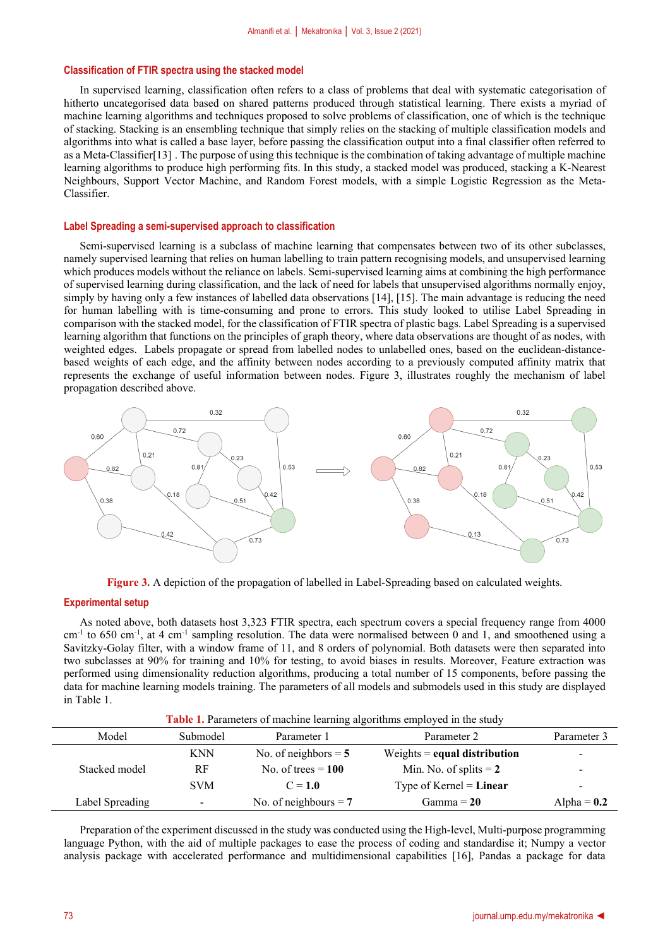#### **Classification of FTIR spectra using the stacked model**

In supervised learning, classification often refers to a class of problems that deal with systematic categorisation of hitherto uncategorised data based on shared patterns produced through statistical learning. There exists a myriad of machine learning algorithms and techniques proposed to solve problems of classification, one of which is the technique of stacking. Stacking is an ensembling technique that simply relies on the stacking of multiple classification models and algorithms into what is called a base layer, before passing the classification output into a final classifier often referred to as a Meta-Classifier[13] . The purpose of using this technique is the combination of taking advantage of multiple machine learning algorithms to produce high performing fits. In this study, a stacked model was produced, stacking a K-Nearest Neighbours, Support Vector Machine, and Random Forest models, with a simple Logistic Regression as the Meta-Classifier.

#### **Label Spreading a semi-supervised approach to classification**

Semi-supervised learning is a subclass of machine learning that compensates between two of its other subclasses, namely supervised learning that relies on human labelling to train pattern recognising models, and unsupervised learning which produces models without the reliance on labels. Semi-supervised learning aims at combining the high performance of supervised learning during classification, and the lack of need for labels that unsupervised algorithms normally enjoy, simply by having only a few instances of labelled data observations [14], [15]. The main advantage is reducing the need for human labelling with is time-consuming and prone to errors. This study looked to utilise Label Spreading in comparison with the stacked model, for the classification of FTIR spectra of plastic bags. Label Spreading is a supervised learning algorithm that functions on the principles of graph theory, where data observations are thought of as nodes, with weighted edges. Labels propagate or spread from labelled nodes to unlabelled ones, based on the euclidean-distancebased weights of each edge, and the affinity between nodes according to a previously computed affinity matrix that represents the exchange of useful information between nodes. Figure 3, illustrates roughly the mechanism of label propagation described above.



**Figure 3.** A depiction of the propagation of labelled in Label-Spreading based on calculated weights.

#### **Experimental setup**

As noted above, both datasets host 3,323 FTIR spectra, each spectrum covers a special frequency range from 4000  $cm^{-1}$  to 650 cm<sup>-1</sup>, at 4 cm<sup>-1</sup> sampling resolution. The data were normalised between 0 and 1, and smoothened using a Savitzky-Golay filter, with a window frame of 11, and 8 orders of polynomial. Both datasets were then separated into two subclasses at 90% for training and 10% for testing, to avoid biases in results. Moreover, Feature extraction was performed using dimensionality reduction algorithms, producing a total number of 15 components, before passing the data for machine learning models training. The parameters of all models and submodels used in this study are displayed in Table 1.

| Table 1. Parameters of machine learning algorithms employed in the study |  |  |  |
|--------------------------------------------------------------------------|--|--|--|
|                                                                          |  |  |  |

| Model           | Submodel   | Parameter 1             | Parameter 2                    | Parameter 3   |
|-----------------|------------|-------------------------|--------------------------------|---------------|
|                 | <b>KNN</b> | No. of neighbors $=$ 5  | Weights $=$ equal distribution | -             |
| Stacked model   | RF         | No. of trees $= 100$    | Min. No. of splits $= 2$       | ۰             |
|                 | <b>SVM</b> | $C = 1.0$               | Type of Kernel = $Linear$      | -             |
| Label Spreading | -          | No. of neighbours $= 7$ | Gamma $= 20$                   | Alpha = $0.2$ |

Preparation of the experiment discussed in the study was conducted using the High-level, Multi-purpose programming language Python, with the aid of multiple packages to ease the process of coding and standardise it; Numpy a vector analysis package with accelerated performance and multidimensional capabilities [16], Pandas a package for data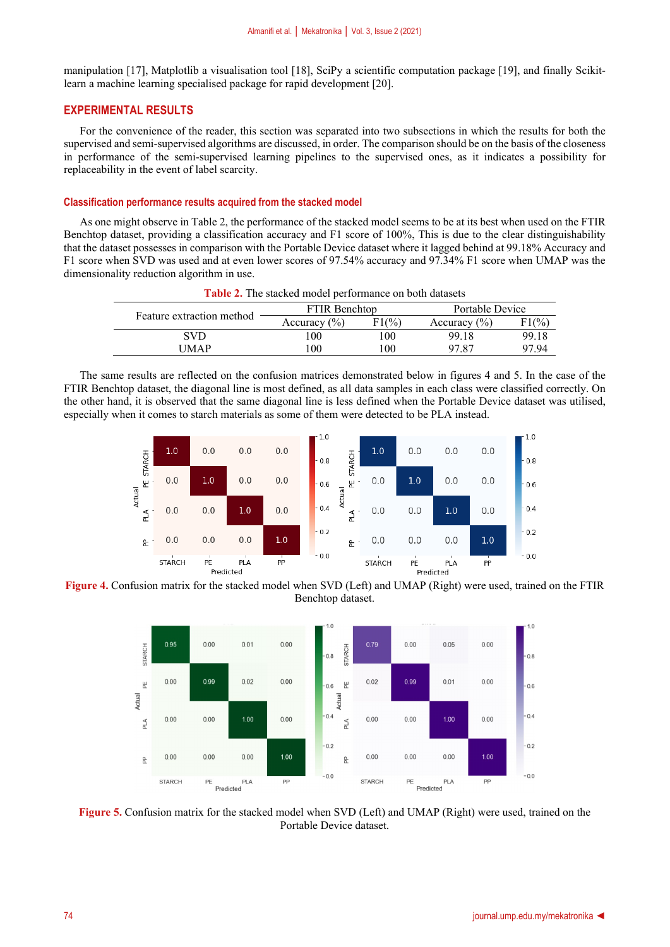manipulation [17], Matplotlib a visualisation tool [18], SciPy a scientific computation package [19], and finally Scikitlearn a machine learning specialised package for rapid development [20].

#### **EXPERIMENTAL RESULTS**

For the convenience of the reader, this section was separated into two subsections in which the results for both the supervised and semi-supervised algorithms are discussed, in order. The comparison should be on the basis of the closeness in performance of the semi-supervised learning pipelines to the supervised ones, as it indicates a possibility for replaceability in the event of label scarcity.

#### **Classification performance results acquired from the stacked model**

As one might observe in Table 2, the performance of the stacked model seems to be at its best when used on the FTIR Benchtop dataset, providing a classification accuracy and F1 score of 100%, This is due to the clear distinguishability that the dataset possesses in comparison with the Portable Device dataset where it lagged behind at 99.18% Accuracy and F1 score when SVD was used and at even lower scores of 97.54% accuracy and 97.34% F1 score when UMAP was the dimensionality reduction algorithm in use.

| <b>Table 2.</b> The stacked model performance on both datasets |                      |                 |                  |                 |  |  |
|----------------------------------------------------------------|----------------------|-----------------|------------------|-----------------|--|--|
| Feature extraction method                                      | <b>FTIR Benchtop</b> |                 | Portable Device  |                 |  |  |
|                                                                | Accuracy $(\% )$     | $F1\frac{9}{6}$ | Accuracy $(\% )$ | $F1\frac{9}{6}$ |  |  |
| <b>SVD</b>                                                     | 00                   | 100             | 99.18            | 99.18           |  |  |
| <b>UMAP</b>                                                    | 00                   | 100             | 97.87            | 97.94           |  |  |

The same results are reflected on the confusion matrices demonstrated below in figures 4 and 5. In the case of the FTIR Benchtop dataset, the diagonal line is most defined, as all data samples in each class were classified correctly. On the other hand, it is observed that the same diagonal line is less defined when the Portable Device dataset was utilised, especially when it comes to starch materials as some of them were detected to be PLA instead.



**Figure 4.** Confusion matrix for the stacked model when SVD (Left) and UMAP (Right) were used, trained on the FTIR Benchtop dataset.



**Figure 5.** Confusion matrix for the stacked model when SVD (Left) and UMAP (Right) were used, trained on the Portable Device dataset.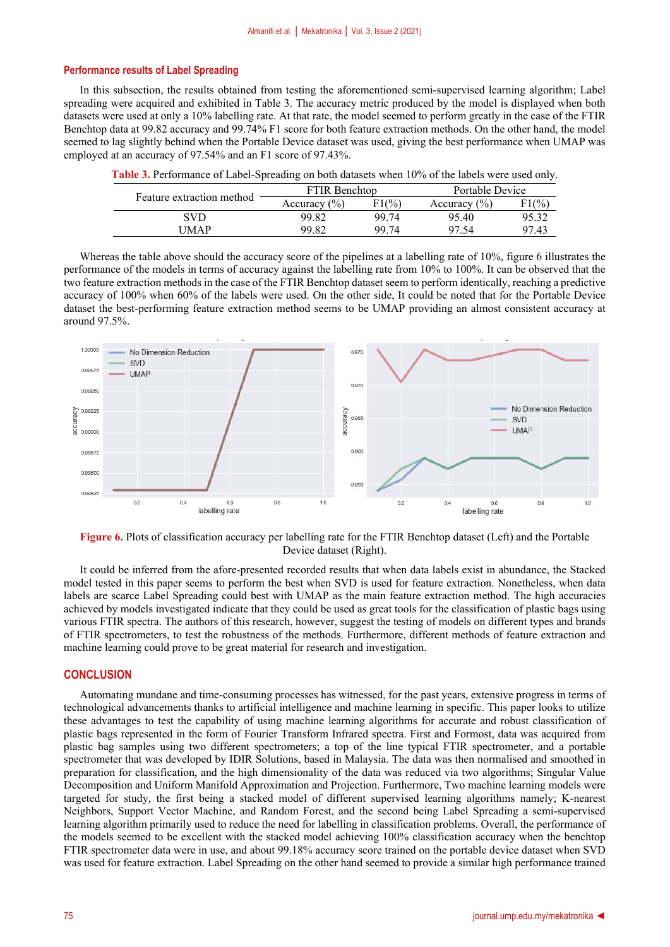#### **Performance results of Label Spreading**

In this subsection, the results obtained from testing the aforementioned semi-supervised learning algorithm; Label spreading were acquired and exhibited in Table 3. The accuracy metric produced by the model is displayed when both datasets were used at only a 10% labelling rate. At that rate, the model seemed to perform greatly in the case of the FTIR Benchtop data at 99.82 accuracy and 99.74% F1 score for both feature extraction methods. On the other hand, the model seemed to lag slightly behind when the Portable Device dataset was used, giving the best performance when UMAP was employed at an accuracy of 97.54% and an F1 score of 97.43%.

| Feature extraction method | <b>FTIR Benchton</b> |       | Portable Device  |               |
|---------------------------|----------------------|-------|------------------|---------------|
|                           | Accuracy $(\% )$     | F1(%) | Accuracy $(\% )$ | $\frac{1}{9}$ |
| SVD                       | 99.82                | 99.74 | 95.40            | 95.32         |
| <b>IMAP</b>               | 99.82                | 99 74 | 97.54            | 97.43         |

**Table 3.** Performance of Label-Spreading on both datasets when 10% of the labels were used only.

Whereas the table above should the accuracy score of the pipelines at a labelling rate of 10%, figure 6 illustrates the performance of the models in terms of accuracy against the labelling rate from 10% to 100%. It can be observed that the two feature extraction methods in the case of the FTIR Benchtop dataset seem to perform identically, reaching a predictive accuracy of 100% when 60% of the labels were used. On the other side, It could be noted that for the Portable Device dataset the best-performing feature extraction method seems to be UMAP providing an almost consistent accuracy at around 97.5%.



**Figure 6.** Plots of classification accuracy per labelling rate for the FTIR Benchtop dataset (Left) and the Portable Device dataset (Right).

It could be inferred from the afore-presented recorded results that when data labels exist in abundance, the Stacked model tested in this paper seems to perform the best when SVD is used for feature extraction. Nonetheless, when data labels are scarce Label Spreading could best with UMAP as the main feature extraction method. The high accuracies achieved by models investigated indicate that they could be used as great tools for the classification of plastic bags using various FTIR spectra. The authors of this research, however, suggest the testing of models on different types and brands of FTIR spectrometers, to test the robustness of the methods. Furthermore, different methods of feature extraction and machine learning could prove to be great material for research and investigation.

#### **CONCLUSION**

Automating mundane and time-consuming processes has witnessed, for the past years, extensive progress in terms of technological advancements thanks to artificial intelligence and machine learning in specific. This paper looks to utilize these advantages to test the capability of using machine learning algorithms for accurate and robust classification of plastic bags represented in the form of Fourier Transform Infrared spectra. First and Formost, data was acquired from plastic bag samples using two different spectrometers; a top of the line typical FTIR spectrometer, and a portable spectrometer that was developed by IDIR Solutions, based in Malaysia. The data was then normalised and smoothed in preparation for classification, and the high dimensionality of the data was reduced via two algorithms; Singular Value Decomposition and Uniform Manifold Approximation and Projection. Furthermore, Two machine learning models were targeted for study, the first being a stacked model of different supervised learning algorithms namely; K-nearest Neighbors, Support Vector Machine, and Random Forest, and the second being Label Spreading a semi-supervised learning algorithm primarily used to reduce the need for labelling in classification problems. Overall, the performance of the models seemed to be excellent with the stacked model achieving 100% classification accuracy when the benchtop FTIR spectrometer data were in use, and about 99.18% accuracy score trained on the portable device dataset when SVD was used for feature extraction. Label Spreading on the other hand seemed to provide a similar high performance trained